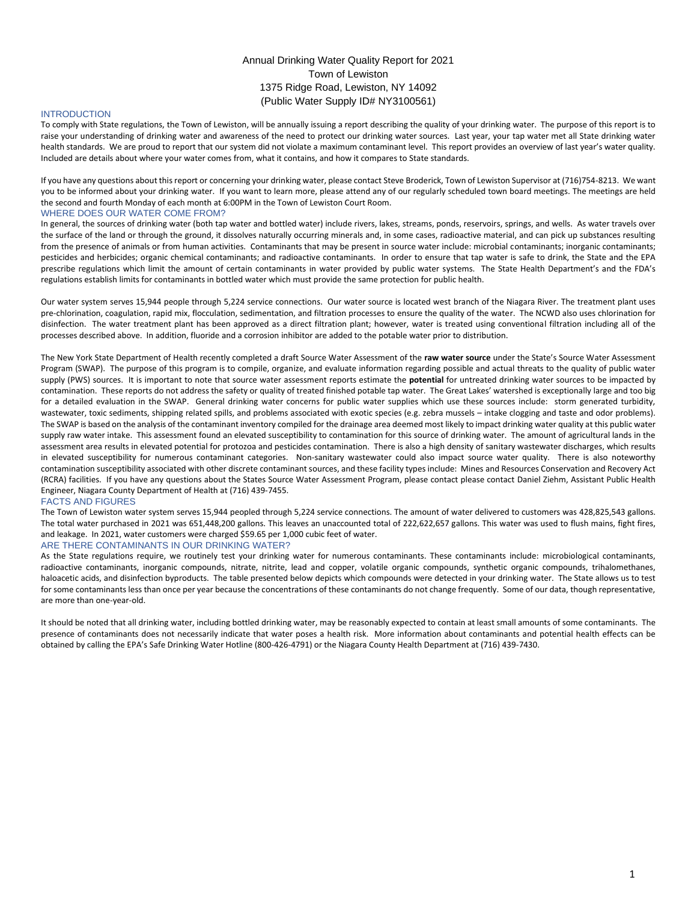# Annual Drinking Water Quality Report for 2021 Town of Lewiston 1375 Ridge Road, Lewiston, NY 14092 (Public Water Supply ID# NY3100561)

# **INTRODUCTION**

To comply with State regulations, the Town of Lewiston, will be annually issuing a report describing the quality of your drinking water. The purpose of this report is to raise your understanding of drinking water and awareness of the need to protect our drinking water sources. Last year, your tap water met all State drinking water health standards. We are proud to report that our system did not violate a maximum contaminant level. This report provides an overview of last year's water quality. Included are details about where your water comes from, what it contains, and how it compares to State standards.

If you have any questions about this report or concerning your drinking water, please contact Steve Broderick, Town of Lewiston Supervisor at (716)754-8213. We want you to be informed about your drinking water. If you want to learn more, please attend any of our regularly scheduled town board meetings. The meetings are held the second and fourth Monday of each month at 6:00PM in the Town of Lewiston Court Room.

## WHERE DOES OUR WATER COME FROM?

In general, the sources of drinking water (both tap water and bottled water) include rivers, lakes, streams, ponds, reservoirs, springs, and wells. As water travels over the surface of the land or through the ground, it dissolves naturally occurring minerals and, in some cases, radioactive material, and can pick up substances resulting from the presence of animals or from human activities. Contaminants that may be present in source water include: microbial contaminants; inorganic contaminants; pesticides and herbicides; organic chemical contaminants; and radioactive contaminants. In order to ensure that tap water is safe to drink, the State and the EPA prescribe regulations which limit the amount of certain contaminants in water provided by public water systems. The State Health Department's and the FDA's regulations establish limits for contaminants in bottled water which must provide the same protection for public health.

Our water system serves 15,944 people through 5,224 service connections. Our water source is located west branch of the Niagara River. The treatment plant uses pre-chlorination, coagulation, rapid mix, flocculation, sedimentation, and filtration processes to ensure the quality of the water. The NCWD also uses chlorination for disinfection. The water treatment plant has been approved as a direct filtration plant; however, water is treated using conventional filtration including all of the processes described above. In addition, fluoride and a corrosion inhibitor are added to the potable water prior to distribution.

The New York State Department of Health recently completed a draft Source Water Assessment of the **raw water source** under the State's Source Water Assessment Program (SWAP). The purpose of this program is to compile, organize, and evaluate information regarding possible and actual threats to the quality of public water supply (PWS) sources. It is important to note that source water assessment reports estimate the **potential** for untreated drinking water sources to be impacted by contamination. These reports do not address the safety or quality of treated finished potable tap water. The Great Lakes' watershed is exceptionally large and too big for a detailed evaluation in the SWAP. General drinking water concerns for public water supplies which use these sources include: storm generated turbidity, wastewater, toxic sediments, shipping related spills, and problems associated with exotic species (e.g. zebra mussels – intake clogging and taste and odor problems). The SWAP is based on the analysis of the contaminant inventory compiled for the drainage area deemed most likely to impact drinking water quality at this public water supply raw water intake. This assessment found an elevated susceptibility to contamination for this source of drinking water. The amount of agricultural lands in the assessment area results in elevated potential for protozoa and pesticides contamination. There is also a high density of sanitary wastewater discharges, which results in elevated susceptibility for numerous contaminant categories. Non-sanitary wastewater could also impact source water quality. There is also noteworthy contamination susceptibility associated with other discrete contaminant sources, and these facility types include: Mines and Resources Conservation and Recovery Act (RCRA) facilities. If you have any questions about the States Source Water Assessment Program, please contact please contact Daniel Ziehm, Assistant Public Health Engineer, Niagara County Department of Health at (716) 439-7455.

## FACTS AND FIGURES

The Town of Lewiston water system serves 15,944 peopled through 5,224 service connections. The amount of water delivered to customers was 428,825,543 gallons. The total water purchased in 2021 was 651,448,200 gallons. This leaves an unaccounted total of 222,622,657 gallons. This water was used to flush mains, fight fires, and leakage. In 2021, water customers were charged \$59.65 per 1,000 cubic feet of water.

## ARE THERE CONTAMINANTS IN OUR DRINKING WATER?

As the State regulations require, we routinely test your drinking water for numerous contaminants. These contaminants include: microbiological contaminants, radioactive contaminants, inorganic compounds, nitrate, nitrite, lead and copper, volatile organic compounds, synthetic organic compounds, trihalomethanes, haloacetic acids, and disinfection byproducts. The table presented below depicts which compounds were detected in your drinking water. The State allows us to test for some contaminants less than once per year because the concentrations of these contaminants do not change frequently. Some of our data, though representative, are more than one-year-old.

It should be noted that all drinking water, including bottled drinking water, may be reasonably expected to contain at least small amounts of some contaminants. The presence of contaminants does not necessarily indicate that water poses a health risk. More information about contaminants and potential health effects can be obtained by calling the EPA's Safe Drinking Water Hotline (800-426-4791) or the Niagara County Health Department at (716) 439-7430.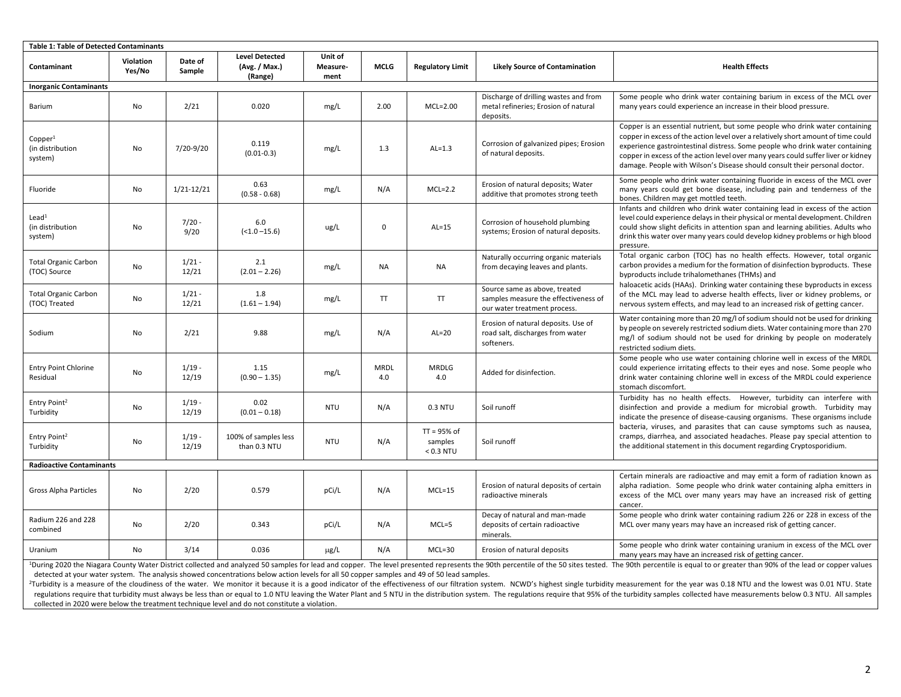| <b>Table 1: Table of Detected Contaminants</b>                                                                                                                                                                                                                                                                                                                                                                                                                                                                                                                                                                         |                     |                   |                                                   |                             |                    |                                         |                                                                                                       |                                                                                                                                                                                                                                                                                                                                                                                                                                                                   |  |  |  |
|------------------------------------------------------------------------------------------------------------------------------------------------------------------------------------------------------------------------------------------------------------------------------------------------------------------------------------------------------------------------------------------------------------------------------------------------------------------------------------------------------------------------------------------------------------------------------------------------------------------------|---------------------|-------------------|---------------------------------------------------|-----------------------------|--------------------|-----------------------------------------|-------------------------------------------------------------------------------------------------------|-------------------------------------------------------------------------------------------------------------------------------------------------------------------------------------------------------------------------------------------------------------------------------------------------------------------------------------------------------------------------------------------------------------------------------------------------------------------|--|--|--|
| Contaminant                                                                                                                                                                                                                                                                                                                                                                                                                                                                                                                                                                                                            | Violation<br>Yes/No | Date of<br>Sample | <b>Level Detected</b><br>(Avg. / Max.)<br>(Range) | Unit of<br>Measure-<br>ment | <b>MCLG</b>        | <b>Regulatory Limit</b>                 | <b>Likely Source of Contamination</b>                                                                 | <b>Health Effects</b>                                                                                                                                                                                                                                                                                                                                                                                                                                             |  |  |  |
| <b>Inorganic Contaminants</b>                                                                                                                                                                                                                                                                                                                                                                                                                                                                                                                                                                                          |                     |                   |                                                   |                             |                    |                                         |                                                                                                       |                                                                                                                                                                                                                                                                                                                                                                                                                                                                   |  |  |  |
| Barium                                                                                                                                                                                                                                                                                                                                                                                                                                                                                                                                                                                                                 | No                  | 2/21              | 0.020                                             | mg/L                        | 2.00               | $MCL=2.00$                              | Discharge of drilling wastes and from<br>metal refineries; Erosion of natural<br>deposits.            | Some people who drink water containing barium in excess of the MCL over<br>many years could experience an increase in their blood pressure.                                                                                                                                                                                                                                                                                                                       |  |  |  |
| Copper <sup>1</sup><br>(in distribution<br>system)                                                                                                                                                                                                                                                                                                                                                                                                                                                                                                                                                                     | No                  | 7/20-9/20         | 0.119<br>$(0.01 - 0.3)$                           | mg/L                        | 1.3                | $AL=1.3$                                | Corrosion of galvanized pipes; Erosion<br>of natural deposits.                                        | Copper is an essential nutrient, but some people who drink water containing<br>copper in excess of the action level over a relatively short amount of time could<br>experience gastrointestinal distress. Some people who drink water containing<br>copper in excess of the action level over many years could suffer liver or kidney<br>damage. People with Wilson's Disease should consult their personal doctor.                                               |  |  |  |
| Fluoride                                                                                                                                                                                                                                                                                                                                                                                                                                                                                                                                                                                                               | No                  | $1/21 - 12/21$    | 0.63<br>$(0.58 - 0.68)$                           | mg/L                        | N/A                | $MCL=2.2$                               | Erosion of natural deposits; Water<br>additive that promotes strong teeth                             | Some people who drink water containing fluoride in excess of the MCL over<br>many years could get bone disease, including pain and tenderness of the<br>bones. Children may get mottled teeth.                                                                                                                                                                                                                                                                    |  |  |  |
| Lead <sup>1</sup><br>(in distribution<br>system)                                                                                                                                                                                                                                                                                                                                                                                                                                                                                                                                                                       | No                  | $7/20 -$<br>9/20  | 6.0<br>$(<1.0 - 15.6)$                            | ug/L                        | 0                  | $AL=15$                                 | Corrosion of household plumbing<br>systems; Erosion of natural deposits.                              | Infants and children who drink water containing lead in excess of the action<br>level could experience delays in their physical or mental development. Children<br>could show slight deficits in attention span and learning abilities. Adults who<br>drink this water over many years could develop kidney problems or high blood<br>pressure.                                                                                                                   |  |  |  |
| <b>Total Organic Carbon</b><br>(TOC) Source                                                                                                                                                                                                                                                                                                                                                                                                                                                                                                                                                                            | No                  | $1/21 -$<br>12/21 | 2.1<br>$(2.01 - 2.26)$                            | mg/L                        | NA                 | NA                                      | Naturally occurring organic materials<br>from decaying leaves and plants.                             | Total organic carbon (TOC) has no health effects. However, total organic<br>carbon provides a medium for the formation of disinfection byproducts. These<br>byproducts include trihalomethanes (THMs) and<br>haloacetic acids (HAAs). Drinking water containing these byproducts in excess<br>of the MCL may lead to adverse health effects, liver or kidney problems, or<br>nervous system effects, and may lead to an increased risk of getting cancer.         |  |  |  |
| <b>Total Organic Carbon</b><br>(TOC) Treated                                                                                                                                                                                                                                                                                                                                                                                                                                                                                                                                                                           | No                  | $1/21 -$<br>12/21 | 1.8<br>$(1.61 - 1.94)$                            | mg/L                        | T                  | TT                                      | Source same as above, treated<br>samples measure the effectiveness of<br>our water treatment process. |                                                                                                                                                                                                                                                                                                                                                                                                                                                                   |  |  |  |
| Sodium                                                                                                                                                                                                                                                                                                                                                                                                                                                                                                                                                                                                                 | No                  | 2/21              | 9.88                                              | mg/L                        | N/A                | $AL=20$                                 | Erosion of natural deposits. Use of<br>road salt, discharges from water<br>softeners.                 | Water containing more than 20 mg/l of sodium should not be used for drinking<br>by people on severely restricted sodium diets. Water containing more than 270<br>mg/l of sodium should not be used for drinking by people on moderately<br>restricted sodium diets.                                                                                                                                                                                               |  |  |  |
| <b>Entry Point Chlorine</b><br>Residual                                                                                                                                                                                                                                                                                                                                                                                                                                                                                                                                                                                | No                  | $1/19 -$<br>12/19 | 1.15<br>$(0.90 - 1.35)$                           | mg/L                        | <b>MRDL</b><br>4.0 | <b>MRDLG</b><br>4.0                     | Added for disinfection.                                                                               | Some people who use water containing chlorine well in excess of the MRDL<br>could experience irritating effects to their eyes and nose. Some people who<br>drink water containing chlorine well in excess of the MRDL could experience<br>stomach discomfort.                                                                                                                                                                                                     |  |  |  |
| Entry Point <sup>2</sup><br>Turbidity                                                                                                                                                                                                                                                                                                                                                                                                                                                                                                                                                                                  | No                  | $1/19 -$<br>12/19 | 0.02<br>$(0.01 - 0.18)$                           | <b>NTU</b>                  | N/A                | 0.3 NTU                                 | Soil runoff                                                                                           | Turbidity has no health effects. However, turbidity can interfere with<br>disinfection and provide a medium for microbial growth. Turbidity may<br>indicate the presence of disease-causing organisms. These organisms include<br>bacteria, viruses, and parasites that can cause symptoms such as nausea,<br>cramps, diarrhea, and associated headaches. Please pay special attention to<br>the additional statement in this document regarding Cryptosporidium. |  |  |  |
| Entry Point <sup>2</sup><br>Turbidity                                                                                                                                                                                                                                                                                                                                                                                                                                                                                                                                                                                  | No                  | $1/19 -$<br>12/19 | 100% of samples less<br>than 0.3 NTU              | <b>NTU</b>                  | N/A                | $TT = 95%$ of<br>samples<br>$< 0.3$ NTU | Soil runoff                                                                                           |                                                                                                                                                                                                                                                                                                                                                                                                                                                                   |  |  |  |
| <b>Radioactive Contaminants</b>                                                                                                                                                                                                                                                                                                                                                                                                                                                                                                                                                                                        |                     |                   |                                                   |                             |                    |                                         |                                                                                                       |                                                                                                                                                                                                                                                                                                                                                                                                                                                                   |  |  |  |
| Gross Alpha Particles                                                                                                                                                                                                                                                                                                                                                                                                                                                                                                                                                                                                  | No                  | 2/20              | 0.579                                             | pCi/L                       | N/A                | $MCL = 15$                              | Erosion of natural deposits of certain<br>radioactive minerals                                        | Certain minerals are radioactive and may emit a form of radiation known as<br>alpha radiation. Some people who drink water containing alpha emitters in<br>excess of the MCL over many years may have an increased risk of getting<br>cancer.                                                                                                                                                                                                                     |  |  |  |
| Radium 226 and 228<br>combined                                                                                                                                                                                                                                                                                                                                                                                                                                                                                                                                                                                         | No                  | 2/20              | 0.343                                             | pCi/L                       | N/A                | $MCL = 5$                               | Decay of natural and man-made<br>deposits of certain radioactive<br>minerals.                         | Some people who drink water containing radium 226 or 228 in excess of the<br>MCL over many years may have an increased risk of getting cancer.                                                                                                                                                                                                                                                                                                                    |  |  |  |
| Uranium                                                                                                                                                                                                                                                                                                                                                                                                                                                                                                                                                                                                                | No                  | 3/14              | 0.036                                             | μg/L                        | N/A                | $MCL=30$                                | Erosion of natural deposits                                                                           | Some people who drink water containing uranium in excess of the MCL over<br>many years may have an increased risk of getting cancer.                                                                                                                                                                                                                                                                                                                              |  |  |  |
| <sup>1</sup> During 2020 the Niagara County Water District collected and analyzed 50 samples for lead and copper. The level presented represents the 90th percentile of the 50 sites tested. The 90th percentile is equal to or greater<br>detected at your water system. The analysis showed concentrations below action levels for all 50 copper samples and 49 of 50 lead samples.<br>Turkidity is a moneyer of the developed the water. We monitor it hooves it is a good indicator of the effectiveness of our filtration oversear. NOMP's highest single turbidity moneyerment for the year was 0.40 NTL and the |                     |                   |                                                   |                             |                    |                                         |                                                                                                       |                                                                                                                                                                                                                                                                                                                                                                                                                                                                   |  |  |  |

<sup>2</sup>Turbidity is a measure of the cloudiness of the water. We monitor it because it is a good indicator of the effectiveness of our filtration system. NCWD's highest single turbidity measurement for the year was 0.18 NTU an regulations require that turbidity must always be less than or equal to 1.0 NTU leaving the Water Plant and 5 NTU in the distribution system. The regulations require that 95% of the turbidity samples collected have measure collected in 2020 were below the treatment technique level and do not constitute a violation.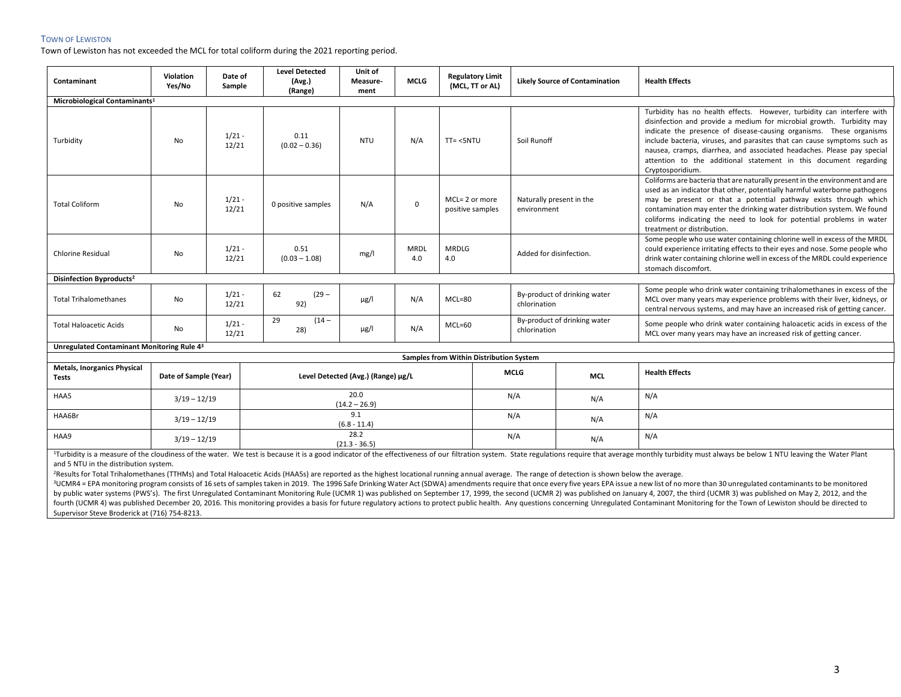# TOWN OF LEWISTON

Town of Lewiston has not exceeded the MCL for total coliform during the 2021 reporting period.

| Contaminant                                        | Violation<br>Yes/No   | Date of<br>Sample | <b>Level Detected</b><br>(Avg.)    | Unit of<br>Measure-     | <b>MCLG</b>        | <b>Regulatory Limit</b><br>(MCL, TT or AL) |                                              | <b>Likely Source of Contamination</b> | <b>Health Effects</b>                                                                                                                                                                                                                                                                                                                                                                                           |  |  |  |
|----------------------------------------------------|-----------------------|-------------------|------------------------------------|-------------------------|--------------------|--------------------------------------------|----------------------------------------------|---------------------------------------|-----------------------------------------------------------------------------------------------------------------------------------------------------------------------------------------------------------------------------------------------------------------------------------------------------------------------------------------------------------------------------------------------------------------|--|--|--|
|                                                    |                       |                   | (Range)                            | ment                    |                    |                                            |                                              |                                       |                                                                                                                                                                                                                                                                                                                                                                                                                 |  |  |  |
| Microbiological Contaminants <sup>1</sup>          |                       |                   |                                    |                         |                    |                                            |                                              |                                       | Turbidity has no health effects. However, turbidity can interfere with                                                                                                                                                                                                                                                                                                                                          |  |  |  |
| Turbidity                                          | No                    | $1/21 -$<br>12/21 | 0.11<br>$(0.02 - 0.36)$            | <b>NTU</b>              | N/A                | $TT = <5NTU$                               | Soil Runoff                                  |                                       | disinfection and provide a medium for microbial growth. Turbidity may<br>indicate the presence of disease-causing organisms. These organisms<br>include bacteria, viruses, and parasites that can cause symptoms such as<br>nausea, cramps, diarrhea, and associated headaches. Please pay special<br>attention to the additional statement in this document regarding<br>Cryptosporidium.                      |  |  |  |
| <b>Total Coliform</b>                              | No                    | $1/21 -$<br>12/21 | 0 positive samples                 | N/A                     | $\mathbf 0$        | MCL= 2 or more<br>positive samples         | environment                                  | Naturally present in the              | Coliforms are bacteria that are naturally present in the environment and are<br>used as an indicator that other, potentially harmful waterborne pathogens<br>may be present or that a potential pathway exists through which<br>contamination may enter the drinking water distribution system. We found<br>coliforms indicating the need to look for potential problems in water<br>treatment or distribution. |  |  |  |
| <b>Chlorine Residual</b>                           | No                    | $1/21 -$<br>12/21 | 0.51<br>$(0.03 - 1.08)$            | mg/l                    | <b>MRDL</b><br>4.0 | <b>MRDLG</b><br>4.0                        | Added for disinfection.                      |                                       | Some people who use water containing chlorine well in excess of the MRDL<br>could experience irritating effects to their eyes and nose. Some people who<br>drink water containing chlorine well in excess of the MRDL could experience<br>stomach discomfort.                                                                                                                                                   |  |  |  |
| Disinfection Byproducts <sup>2</sup>               |                       |                   |                                    |                         |                    |                                            |                                              |                                       |                                                                                                                                                                                                                                                                                                                                                                                                                 |  |  |  |
| <b>Total Trihalomethanes</b>                       | No                    | $1/21 -$<br>12/21 | 62<br>$(29 -$<br>92)               | $\mu$ g/l               | N/A                | $MCL = 80$                                 | By-product of drinking water<br>chlorination |                                       | Some people who drink water containing trihalomethanes in excess of the<br>MCL over many years may experience problems with their liver, kidneys, or<br>central nervous systems, and may have an increased risk of getting cancer.                                                                                                                                                                              |  |  |  |
| <b>Total Haloacetic Acids</b>                      | No                    | $1/21 -$<br>12/21 | 29<br>$(14 -$<br>28)               | $\mu$ g/l               | N/A                | $MCL=60$                                   | By-product of drinking water<br>chlorination |                                       | Some people who drink water containing haloacetic acids in excess of the<br>MCL over many years may have an increased risk of getting cancer.                                                                                                                                                                                                                                                                   |  |  |  |
| Unregulated Contaminant Monitoring Rule 43         |                       |                   |                                    |                         |                    |                                            |                                              |                                       |                                                                                                                                                                                                                                                                                                                                                                                                                 |  |  |  |
| Samples from Within Distribution System            |                       |                   |                                    |                         |                    |                                            |                                              |                                       |                                                                                                                                                                                                                                                                                                                                                                                                                 |  |  |  |
| <b>Metals, Inorganics Physical</b><br><b>Tests</b> | Date of Sample (Year) |                   | Level Detected (Avg.) (Range) µg/L |                         |                    |                                            | <b>MCLG</b>                                  | <b>MCL</b>                            | <b>Health Effects</b>                                                                                                                                                                                                                                                                                                                                                                                           |  |  |  |
| HAA5                                               | $3/19 - 12/19$        |                   | 20.0<br>$(14.2 - 26.9)$            |                         |                    |                                            | N/A                                          | N/A                                   | N/A                                                                                                                                                                                                                                                                                                                                                                                                             |  |  |  |
| HAA6Br                                             | $3/19 - 12/19$        |                   |                                    | 9.1<br>$(6.8 - 11.4)$   |                    |                                            | N/A                                          | N/A                                   | N/A                                                                                                                                                                                                                                                                                                                                                                                                             |  |  |  |
| HAA9                                               | $3/19 - 12/19$        |                   |                                    | 28.2<br>$(21.3 - 36.5)$ |                    |                                            | N/A                                          | N/A                                   | N/A                                                                                                                                                                                                                                                                                                                                                                                                             |  |  |  |

<sup>1</sup>Turbidity is a measure of the cloudiness of the water. We test is because it is a good indicator of the effectiveness of our filtration system. State regulations require that average monthly turbidity must always be bel and 5 NTU in the distribution system.

<sup>2</sup>Results for Total Trihalomethanes (TTHMs) and Total Haloacetic Acids (HAA5s) are reported as the highest locational running annual average. The range of detection is shown below the average.

<sup>3</sup>UCMR4 = EPA monitoring program consists of 16 sets of samples taken in 2019. The 1996 Safe Drinking Water Act (SDWA) amendments require that once every five years EPA issue a new list of no more than 30 unregulated cont by public water systems (PWS's). The first Unregulated Contaminant Monitoring Rule (UCMR 1) was published on September 17, 1999, the second (UCMR 2) was published on January 4, 2007, the third (UCMR 3) was published on May fourth (UCMR 4) was published December 20, 2016. This monitoring provides a basis for future regulatory actions to protect public health. Any questions concerning Unregulated Contaminant Monitoring for the Town of Lewiston Supervisor Steve Broderick at (716) 754-8213.